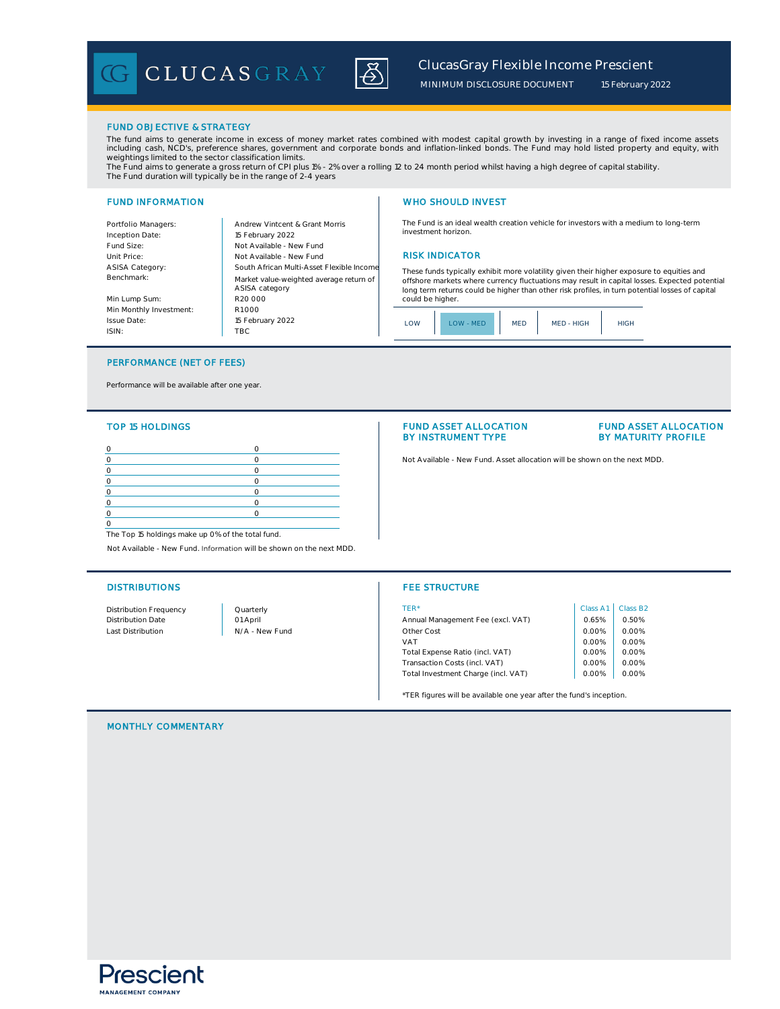CLUCASGRAY



*ClucasGray Flexible Income Prescient* 

*MINIMUM DISCLOSURE DOCUMENT*

*15 February 2022*

#### FUND OBJECTIVE & STRATEGY

The fund aims to generate income in excess of money market rates combined with modest capital growth by investing in a range of fixed income assets<br>including cash, NCD's, preference shares, government and corporate bonds a weightings limited to the sector classification limits.

The Fund aims to generate a gross return of CPI plus 1% - 2% over a rolling 12 to 24 month period whilst having a high degree of capital stability.<br>The Fund duration will typically be in the range of 2-4 years

## FUND INFORMATION NETWORK IN THE SERVICE OF THE MUSIC WHO SHOULD INVEST

Portfolio Managers: Andrew Vintcent & Grant Morris Inception Date: Fund Size: Unit Price: **RISK INDICATOR** Not Available - New Fund **RISK INDICATOR** ASISA Category: Benchmark: Min Lump Sum: Min Monthly Investment: Issue Date: Not Available - New Fund R1 000 South African Multi-Asset Flexible Income 15 February 2022 R20 000 Market value-weighted average return of ASISA category 15 February 2022

TBC

The Fund is an ideal wealth creation vehicle for investors with a medium to long-term investment horizon.

These funds typically exhibit more volatility given their higher exposure to equities and offshore markets where currency fluctuations may result in capital losses. Expected potential long term returns could be higher than other risk profiles, in turn potential losses of capital could be higher.

| OW<br><b>SIAL</b> MED | MED | MED - HIGH | IGH |
|-----------------------|-----|------------|-----|
|-----------------------|-----|------------|-----|

## PERFORMANCE (NET OF FEES)

Performance will be available after one year.

#### TOP 15 HOLDINGS

ISIN:

The Top 15 holdings make up 0% of the total fund.

Not Available - New Fund. Information will be shown on the next MDD.

#### FUND ASSET ALLOCATION BY INSTRUMENT TYPE

## FUND ASSET ALLOCATION BY MATURITY PROFILE

0 0 Not Available - New Fund. Asset allocation will be shown on the next MDD.

## DISTRIBUTIONS **FEE STRUCTURE**

| Distribution Frequency | Quarterly      | TFR*                                | Class A1 | Class B <sub>2</sub> |
|------------------------|----------------|-------------------------------------|----------|----------------------|
| Distribution Date      | 01 April       | Annual Management Fee (excl. VAT)   | 0.65%    | 0.50%                |
| Last Distribution      | N/A - New Fund | Other Cost                          | 0.00%    | 0.00%                |
|                        |                | VAT                                 | 0.00%    | 0.00%                |
|                        |                | Total Expense Ratio (incl. VAT)     | 0.00%    | 0.00%                |
|                        |                | Transaction Costs (incl. VAT)       | 0.00%    | 0.00%                |
|                        |                | Total Investment Charge (incl. VAT) | 0.00%    | 0.00%                |
|                        |                |                                     |          |                      |

\*TER figures will be available one year after the fund's inception.

MONTHLY COMMENTARY